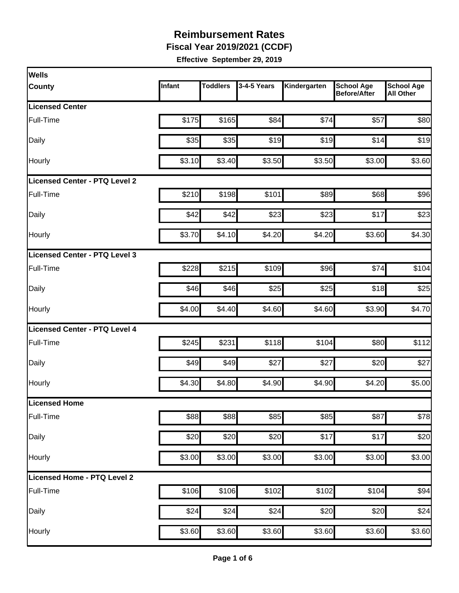**Fiscal Year 2019/2021 (CCDF)**

| <b>Wells</b>                         |        |                 |             |              |                                          |                                       |
|--------------------------------------|--------|-----------------|-------------|--------------|------------------------------------------|---------------------------------------|
| <b>County</b>                        | Infant | <b>Toddlers</b> | 3-4-5 Years | Kindergarten | <b>School Age</b><br><b>Before/After</b> | <b>School Age</b><br><b>All Other</b> |
| <b>Licensed Center</b>               |        |                 |             |              |                                          |                                       |
| Full-Time                            | \$175  | \$165           | \$84        | \$74         | \$57                                     | \$80                                  |
| Daily                                | \$35   | \$35            | \$19        | \$19         | \$14                                     | \$19                                  |
| Hourly                               | \$3.10 | \$3.40          | \$3.50      | \$3.50       | \$3.00                                   | \$3.60                                |
| <b>Licensed Center - PTQ Level 2</b> |        |                 |             |              |                                          |                                       |
| Full-Time                            | \$210  | \$198           | \$101       | \$89         | \$68                                     | \$96                                  |
| Daily                                | \$42   | \$42            | \$23        | \$23         | \$17                                     | \$23                                  |
| Hourly                               | \$3.70 | \$4.10          | \$4.20      | \$4.20       | \$3.60                                   | \$4.30                                |
| Licensed Center - PTQ Level 3        |        |                 |             |              |                                          |                                       |
| Full-Time                            | \$228  | \$215           | \$109       | \$96         | \$74                                     | \$104                                 |
| Daily                                | \$46   | \$46            | \$25        | \$25         | \$18                                     | \$25                                  |
| Hourly                               | \$4.00 | \$4.40          | \$4.60      | \$4.60       | \$3.90                                   | \$4.70                                |
| <b>Licensed Center - PTQ Level 4</b> |        |                 |             |              |                                          |                                       |
| Full-Time                            | \$245  | \$231           | \$118       | \$104        | \$80                                     | \$112                                 |
| Daily                                | \$49   | \$49            | \$27        | \$27         | \$20                                     | \$27                                  |
| Hourly                               | \$4.30 | \$4.80          | \$4.90      | \$4.90       | \$4.20                                   | \$5.00                                |
| Licensed Home                        |        |                 |             |              |                                          |                                       |
| Full-Time                            | \$88   | \$88            | \$85        | \$85         | \$87                                     | \$78                                  |
| Daily                                | \$20   | \$20            | \$20        | \$17         | \$17                                     | \$20                                  |
| Hourly                               | \$3.00 | \$3.00          | \$3.00      | \$3.00       | \$3.00                                   | \$3.00                                |
| Licensed Home - PTQ Level 2          |        |                 |             |              |                                          |                                       |
| Full-Time                            | \$106  | \$106           | \$102       | \$102        | \$104                                    | \$94                                  |
| Daily                                | \$24   | \$24            | \$24        | \$20         | \$20                                     | \$24                                  |
| Hourly                               | \$3.60 | \$3.60          | \$3.60      | \$3.60       | \$3.60                                   | \$3.60                                |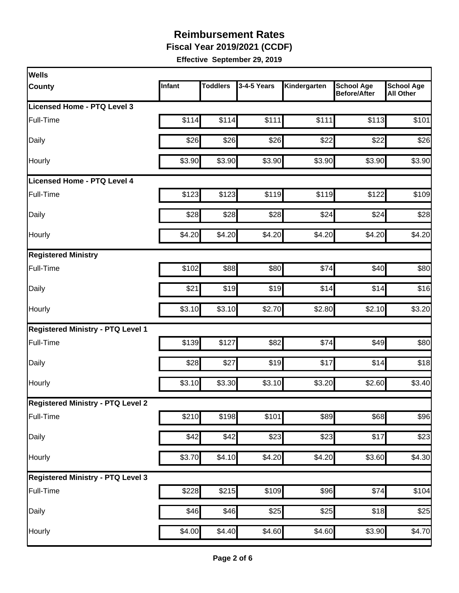**Fiscal Year 2019/2021 (CCDF)**

| <b>Wells</b>                             |        |                 |             |              |                                          |                                       |
|------------------------------------------|--------|-----------------|-------------|--------------|------------------------------------------|---------------------------------------|
| <b>County</b>                            | Infant | <b>Toddlers</b> | 3-4-5 Years | Kindergarten | <b>School Age</b><br><b>Before/After</b> | <b>School Age</b><br><b>All Other</b> |
| Licensed Home - PTQ Level 3              |        |                 |             |              |                                          |                                       |
| Full-Time                                | \$114  | \$114           | \$111       | \$111        | \$113                                    | \$101                                 |
| Daily                                    | \$26   | \$26            | \$26        | \$22         | \$22                                     | \$26                                  |
| Hourly                                   | \$3.90 | \$3.90          | \$3.90      | \$3.90       | \$3.90                                   | \$3.90                                |
| Licensed Home - PTQ Level 4              |        |                 |             |              |                                          |                                       |
| Full-Time                                | \$123  | \$123           | \$119       | \$119        | \$122                                    | \$109                                 |
| Daily                                    | \$28   | \$28            | \$28        | \$24         | \$24                                     | \$28                                  |
| Hourly                                   | \$4.20 | \$4.20          | \$4.20      | \$4.20       | \$4.20                                   | \$4.20                                |
| <b>Registered Ministry</b>               |        |                 |             |              |                                          |                                       |
| Full-Time                                | \$102  | \$88            | \$80        | \$74         | \$40                                     | \$80                                  |
| Daily                                    | \$21   | \$19            | \$19        | \$14         | \$14                                     | \$16                                  |
| Hourly                                   | \$3.10 | \$3.10          | \$2.70      | \$2.80       | \$2.10                                   | \$3.20                                |
| <b>Registered Ministry - PTQ Level 1</b> |        |                 |             |              |                                          |                                       |
| Full-Time                                | \$139  | \$127           | \$82        | \$74         | \$49                                     | \$80                                  |
| Daily                                    | \$28   | \$27            | \$19        | \$17         | \$14                                     | \$18                                  |
| Hourly                                   | \$3.10 | \$3.30          | \$3.10      | \$3.20       | \$2.60                                   | \$3.40                                |
| <b>Registered Ministry - PTQ Level 2</b> |        |                 |             |              |                                          |                                       |
| Full-Time                                | \$210  | \$198           | \$101       | \$89         | \$68                                     | \$96                                  |
| Daily                                    | \$42   | \$42            | \$23        | \$23         | \$17                                     | \$23                                  |
| Hourly                                   | \$3.70 | \$4.10          | \$4.20      | \$4.20       | \$3.60                                   | \$4.30                                |
| <b>Registered Ministry - PTQ Level 3</b> |        |                 |             |              |                                          |                                       |
| Full-Time                                | \$228  | \$215           | \$109       | \$96         | \$74                                     | \$104                                 |
| Daily                                    | \$46   | \$46            | \$25        | \$25         | \$18                                     | \$25                                  |
| Hourly                                   | \$4.00 | \$4.40          | \$4.60      | \$4.60       | \$3.90                                   | \$4.70                                |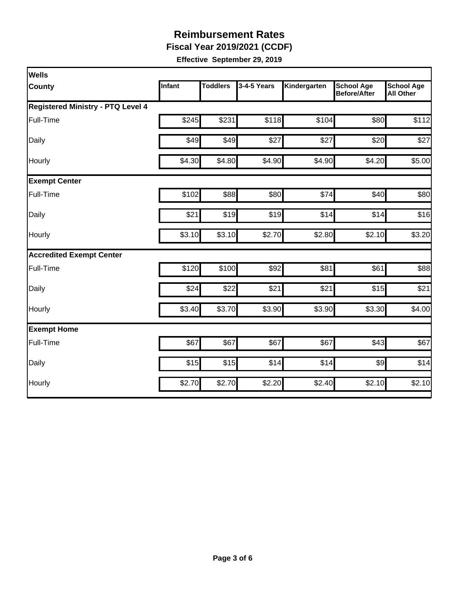**Fiscal Year 2019/2021 (CCDF)**

| <b>Wells</b>                             |        |                 |             |              |                                          |                                       |  |  |  |
|------------------------------------------|--------|-----------------|-------------|--------------|------------------------------------------|---------------------------------------|--|--|--|
| <b>County</b>                            | Infant | <b>Toddlers</b> | 3-4-5 Years | Kindergarten | <b>School Age</b><br><b>Before/After</b> | <b>School Age</b><br><b>All Other</b> |  |  |  |
| <b>Registered Ministry - PTQ Level 4</b> |        |                 |             |              |                                          |                                       |  |  |  |
| Full-Time                                | \$245  | \$231           | \$118       | \$104        | \$80                                     | \$112                                 |  |  |  |
| Daily                                    | \$49   | \$49            | \$27        | \$27         | \$20                                     | \$27                                  |  |  |  |
| Hourly                                   | \$4.30 | \$4.80          | \$4.90      | \$4.90       | \$4.20                                   | \$5.00                                |  |  |  |
| <b>Exempt Center</b>                     |        |                 |             |              |                                          |                                       |  |  |  |
| Full-Time                                | \$102  | \$88            | \$80        | \$74         | \$40                                     | \$80                                  |  |  |  |
| Daily                                    | \$21   | \$19            | \$19        | \$14         | \$14                                     | \$16                                  |  |  |  |
| Hourly                                   | \$3.10 | \$3.10          | \$2.70      | \$2.80       | \$2.10                                   | \$3.20                                |  |  |  |
| <b>Accredited Exempt Center</b>          |        |                 |             |              |                                          |                                       |  |  |  |
| Full-Time                                | \$120  | \$100           | \$92        | \$81         | \$61                                     | \$88                                  |  |  |  |
| Daily                                    | \$24   | \$22            | \$21        | \$21         | \$15                                     | \$21                                  |  |  |  |
| Hourly                                   | \$3.40 | \$3.70          | \$3.90      | \$3.90       | \$3.30                                   | \$4.00                                |  |  |  |
| <b>Exempt Home</b>                       |        |                 |             |              |                                          |                                       |  |  |  |
| Full-Time                                | \$67   | \$67            | \$67        | \$67         | \$43                                     | \$67                                  |  |  |  |
| Daily                                    | \$15   | \$15            | \$14        | \$14         | $\frac{1}{2}$                            | \$14                                  |  |  |  |
| Hourly                                   | \$2.70 | \$2.70          | \$2.20      | \$2.40       | \$2.10                                   | \$2.10                                |  |  |  |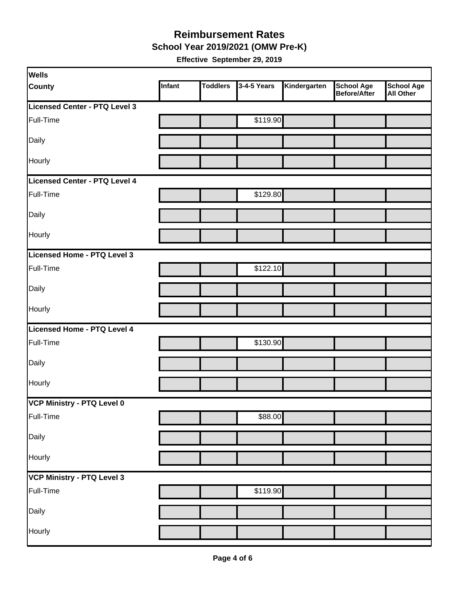**School Year 2019/2021 (OMW Pre-K)**

| <b>Wells</b>                  |        |                 |             |              |                                   |                         |
|-------------------------------|--------|-----------------|-------------|--------------|-----------------------------------|-------------------------|
| <b>County</b>                 | Infant | <b>Toddlers</b> | 3-4-5 Years | Kindergarten | <b>School Age</b><br>Before/After | School Age<br>All Other |
| Licensed Center - PTQ Level 3 |        |                 |             |              |                                   |                         |
| Full-Time                     |        |                 | \$119.90    |              |                                   |                         |
| Daily                         |        |                 |             |              |                                   |                         |
| Hourly                        |        |                 |             |              |                                   |                         |
| Licensed Center - PTQ Level 4 |        |                 |             |              |                                   |                         |
| Full-Time                     |        |                 | \$129.80    |              |                                   |                         |
| Daily                         |        |                 |             |              |                                   |                         |
| Hourly                        |        |                 |             |              |                                   |                         |
| Licensed Home - PTQ Level 3   |        |                 |             |              |                                   |                         |
| Full-Time                     |        |                 | \$122.10    |              |                                   |                         |
| Daily                         |        |                 |             |              |                                   |                         |
| Hourly                        |        |                 |             |              |                                   |                         |
| Licensed Home - PTQ Level 4   |        |                 |             |              |                                   |                         |
| Full-Time                     |        |                 | \$130.90    |              |                                   |                         |
| Daily                         |        |                 |             |              |                                   |                         |
| Hourly                        |        |                 |             |              |                                   |                         |
| VCP Ministry - PTQ Level 0    |        |                 |             |              |                                   |                         |
| Full-Time                     |        |                 | \$88.00     |              |                                   |                         |
| Daily                         |        |                 |             |              |                                   |                         |
| Hourly                        |        |                 |             |              |                                   |                         |
| VCP Ministry - PTQ Level 3    |        |                 |             |              |                                   |                         |
| Full-Time                     |        |                 | \$119.90    |              |                                   |                         |
| Daily                         |        |                 |             |              |                                   |                         |
| Hourly                        |        |                 |             |              |                                   |                         |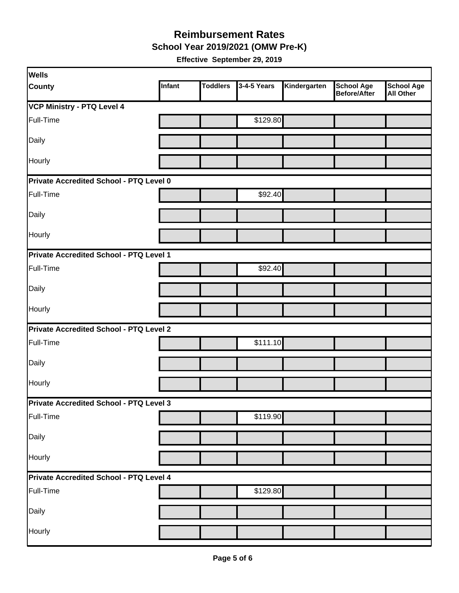**School Year 2019/2021 (OMW Pre-K)**

| <b>Wells</b>                            |               |                 |             |              |                                   |                                       |  |  |
|-----------------------------------------|---------------|-----------------|-------------|--------------|-----------------------------------|---------------------------------------|--|--|
| <b>County</b>                           | <b>Infant</b> | <b>Toddlers</b> | 3-4-5 Years | Kindergarten | <b>School Age</b><br>Before/After | <b>School Age</b><br><b>All Other</b> |  |  |
| <b>VCP Ministry - PTQ Level 4</b>       |               |                 |             |              |                                   |                                       |  |  |
| Full-Time                               |               |                 | \$129.80    |              |                                   |                                       |  |  |
| Daily                                   |               |                 |             |              |                                   |                                       |  |  |
| Hourly                                  |               |                 |             |              |                                   |                                       |  |  |
| Private Accredited School - PTQ Level 0 |               |                 |             |              |                                   |                                       |  |  |
| Full-Time                               |               |                 | \$92.40     |              |                                   |                                       |  |  |
| Daily                                   |               |                 |             |              |                                   |                                       |  |  |
| Hourly                                  |               |                 |             |              |                                   |                                       |  |  |
| Private Accredited School - PTQ Level 1 |               |                 |             |              |                                   |                                       |  |  |
| Full-Time                               |               |                 | \$92.40     |              |                                   |                                       |  |  |
| Daily                                   |               |                 |             |              |                                   |                                       |  |  |
| Hourly                                  |               |                 |             |              |                                   |                                       |  |  |
| Private Accredited School - PTQ Level 2 |               |                 |             |              |                                   |                                       |  |  |
| Full-Time                               |               |                 | \$111.10    |              |                                   |                                       |  |  |
| Daily                                   |               |                 |             |              |                                   |                                       |  |  |
| Hourly                                  |               |                 |             |              |                                   |                                       |  |  |
| Private Accredited School - PTQ Level 3 |               |                 |             |              |                                   |                                       |  |  |
| Full-Time                               |               |                 | \$119.90    |              |                                   |                                       |  |  |
| Daily                                   |               |                 |             |              |                                   |                                       |  |  |
| Hourly                                  |               |                 |             |              |                                   |                                       |  |  |
| Private Accredited School - PTQ Level 4 |               |                 |             |              |                                   |                                       |  |  |
| Full-Time                               |               |                 | \$129.80    |              |                                   |                                       |  |  |
| Daily                                   |               |                 |             |              |                                   |                                       |  |  |
| Hourly                                  |               |                 |             |              |                                   |                                       |  |  |